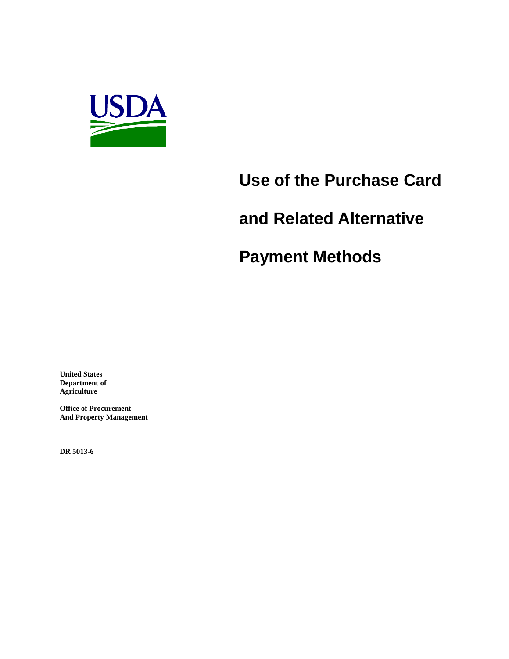

# **Use of the Purchase Card**

# **and Related Alternative**

# **Payment Methods**

**United States Department of Agriculture**

**Office of Procurement And Property Management**

**DR 5013-6**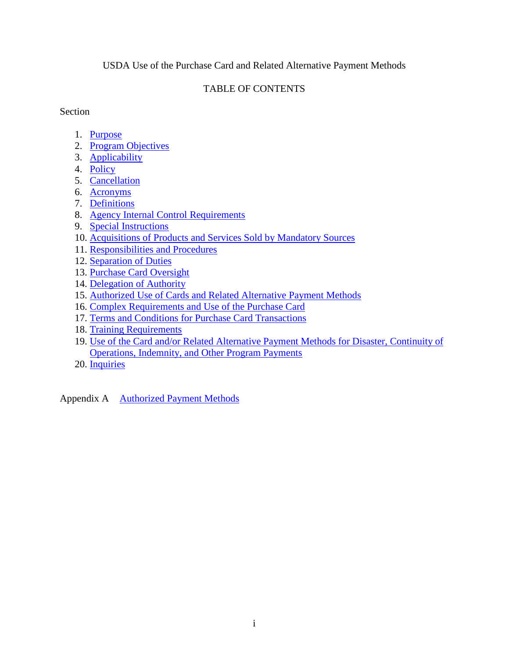#### USDA Use of the Purchase Card and Related Alternative Payment Methods

### TABLE OF CONTENTS

Section **Section** 

- 1. [Purpose](#page-2-0)
- 2. [Program Objectives](#page-2-1)
- 3. [Applicability](#page-2-2)
- 4. [Policy](#page-3-0)
- 5. [Cancellation](#page-3-1)
- 6. [Acronyms](#page-3-2)
- 7. [Definitions](#page-4-0)
- 8. [Agency Internal Control Requirements](#page-8-0)
- 9. [Special Instructions](#page-9-0)
- 10. [Acquisitions of Products and Services Sold by Mandatory Sources](#page-13-0)
- 11. [Responsibilities and](#page-13-1) Procedures
- 12. [Separation of Duties](#page-15-0)
- 13. [Purchase Card Oversight](#page-15-1)
- 14. [Delegation of Authority](#page-16-0)
- 15. [Authorized Use of Cards and Related Alternative Payment Methods](#page-17-0)
- 16. [Complex Requirements and Use of the Purchase Card](#page-19-0)
- 17. [Terms and Conditions for Purchase Card Transactions](#page-19-1)
- 18. [Training Requirements](#page-20-0)
- 19. [Use of the Card and/or Related Alternative Payment Methods for Disaster, Continuity of](#page-20-1)  [Operations, Indemnity, and Other Program Payments](#page-20-1)
- 20. [Inquiries](#page-21-0)

Appendix A Authorized Payment Methods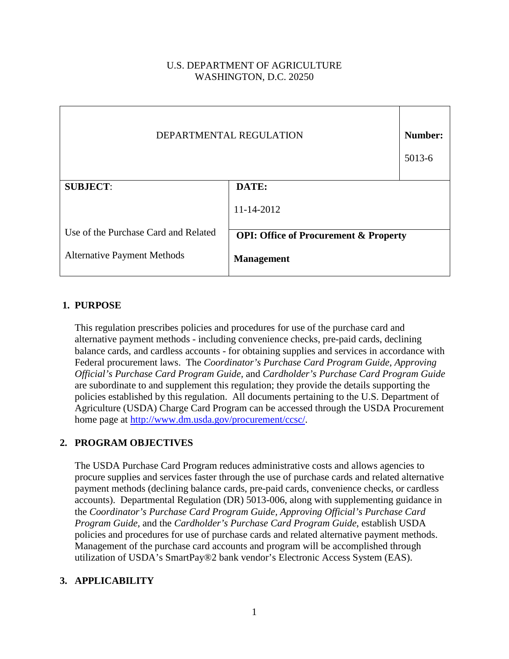## U.S. DEPARTMENT OF AGRICULTURE WASHINGTON, D.C. 20250

| DEPARTMENTAL REGULATION              |                                                  | Number:<br>5013-6 |
|--------------------------------------|--------------------------------------------------|-------------------|
| <b>SUBJECT:</b>                      | DATE:                                            |                   |
|                                      | 11-14-2012                                       |                   |
| Use of the Purchase Card and Related | <b>OPI: Office of Procurement &amp; Property</b> |                   |
| <b>Alternative Payment Methods</b>   | <b>Management</b>                                |                   |

## <span id="page-2-0"></span>**1. PURPOSE**

This regulation prescribes policies and procedures for use of the purchase card and alternative payment methods - including convenience checks, pre-paid cards, declining balance cards, and cardless accounts - for obtaining supplies and services in accordance with Federal procurement laws. The *Coordinator's Purchase Card Program Guide, Approving Official's Purchase Card Program Guide,* and *Cardholder's Purchase Card Program Guide* are subordinate to and supplement this regulation; they provide the details supporting the policies established by this regulation. All documents pertaining to the U.S. Department of Agriculture (USDA) Charge Card Program can be accessed through the USDA Procurement home page at [http://www.dm.usda.gov/procurement/ccsc/.](http://www.dm.usda.gov/procurement/ccsc/)

#### <span id="page-2-1"></span>**2. PROGRAM OBJECTIVES**

The USDA Purchase Card Program reduces administrative costs and allows agencies to procure supplies and services faster through the use of purchase cards and related alternative payment methods (declining balance cards, pre-paid cards, convenience checks, or cardless accounts). Departmental Regulation (DR) 5013-006, along with supplementing guidance in the *Coordinator's Purchase Card Program Guide, Approving Official's Purchase Card Program Guide,* and the *Cardholder's Purchase Card Program Guide*, establish USDA policies and procedures for use of purchase cards and related alternative payment methods. Management of the purchase card accounts and program will be accomplished through utilization of USDA's SmartPay®2 bank vendor's Electronic Access System (EAS).

#### <span id="page-2-2"></span>**3. APPLICABILITY**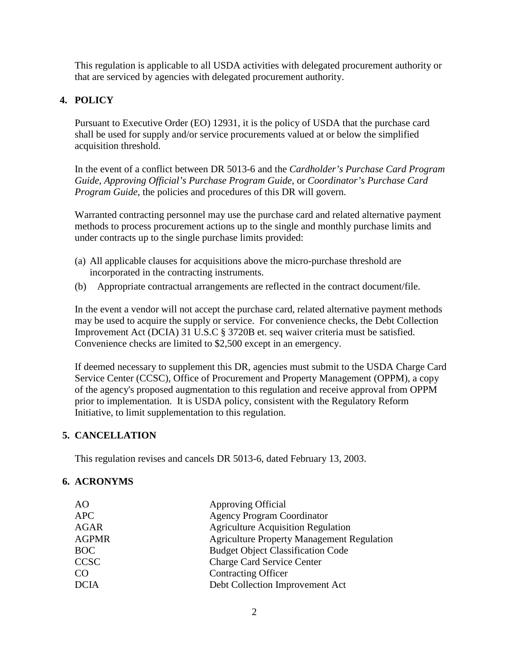This regulation is applicable to all USDA activities with delegated procurement authority or that are serviced by agencies with delegated procurement authority.

# <span id="page-3-0"></span>**4. POLICY**

Pursuant to Executive Order (EO) 12931, it is the policy of USDA that the purchase card shall be used for supply and/or service procurements valued at or below the simplified acquisition threshold.

In the event of a conflict between DR 5013-6 and the *Cardholder's Purchase Card Program Guide*, *Approving Official's Purchase Program Guide*, or *Coordinator's Purchase Card Program Guide*, the policies and procedures of this DR will govern.

Warranted contracting personnel may use the purchase card and related alternative payment methods to process procurement actions up to the single and monthly purchase limits and under contracts up to the single purchase limits provided:

- (a) All applicable clauses for acquisitions above the micro-purchase threshold are incorporated in the contracting instruments.
- (b) Appropriate contractual arrangements are reflected in the contract document/file.

In the event a vendor will not accept the purchase card, related alternative payment methods may be used to acquire the supply or service. For convenience checks, the Debt Collection Improvement Act (DCIA) 31 U.S.C § 3720B et. seq waiver criteria must be satisfied. Convenience checks are limited to \$2,500 except in an emergency.

If deemed necessary to supplement this DR, agencies must submit to the USDA Charge Card Service Center (CCSC), Office of Procurement and Property Management (OPPM), a copy of the agency's proposed augmentation to this regulation and receive approval from OPPM prior to implementation. It is USDA policy, consistent with the Regulatory Reform Initiative, to limit supplementation to this regulation.

#### <span id="page-3-1"></span>**5. CANCELLATION**

This regulation revises and cancels DR 5013-6, dated February 13, 2003.

#### <span id="page-3-2"></span>**6. ACRONYMS**

| <b>Approving Official</b>                         |
|---------------------------------------------------|
| <b>Agency Program Coordinator</b>                 |
| <b>Agriculture Acquisition Regulation</b>         |
| <b>Agriculture Property Management Regulation</b> |
| <b>Budget Object Classification Code</b>          |
| <b>Charge Card Service Center</b>                 |
| <b>Contracting Officer</b>                        |
| Debt Collection Improvement Act                   |
|                                                   |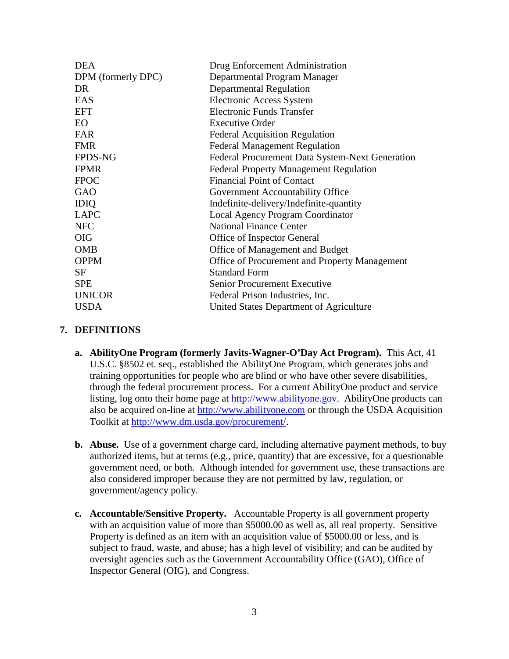| <b>DEA</b>         | Drug Enforcement Administration                 |
|--------------------|-------------------------------------------------|
| DPM (formerly DPC) | Departmental Program Manager                    |
| DR                 | Departmental Regulation                         |
| EAS                | <b>Electronic Access System</b>                 |
| <b>EFT</b>         | <b>Electronic Funds Transfer</b>                |
| <b>EO</b>          | <b>Executive Order</b>                          |
| <b>FAR</b>         | <b>Federal Acquisition Regulation</b>           |
| <b>FMR</b>         | <b>Federal Management Regulation</b>            |
| <b>FPDS-NG</b>     | Federal Procurement Data System-Next Generation |
| <b>FPMR</b>        | <b>Federal Property Management Regulation</b>   |
| <b>FPOC</b>        | <b>Financial Point of Contact</b>               |
| GAO                | Government Accountability Office                |
| <b>IDIQ</b>        | Indefinite-delivery/Indefinite-quantity         |
| <b>LAPC</b>        | <b>Local Agency Program Coordinator</b>         |
| <b>NFC</b>         | <b>National Finance Center</b>                  |
| <b>OIG</b>         | Office of Inspector General                     |
| <b>OMB</b>         | Office of Management and Budget                 |
| <b>OPPM</b>        | Office of Procurement and Property Management   |
| <b>SF</b>          | <b>Standard Form</b>                            |
| <b>SPE</b>         | <b>Senior Procurement Executive</b>             |
| <b>UNICOR</b>      | Federal Prison Industries, Inc.                 |
| <b>USDA</b>        | United States Department of Agriculture         |

#### <span id="page-4-0"></span>**7. DEFINITIONS**

- **a. AbilityOne Program (formerly Javits-Wagner-O'Day Act Program).** This Act, 41 U.S.C. §8502 et. seq., established the AbilityOne Program, which generates jobs and training opportunities for people who are blind or who have other severe disabilities, through the federal procurement process. For a current AbilityOne product and service listing, log onto their home page at [http://www.abilityone.gov.](http://www.abilityone.gov/) AbilityOne products can also be acquired on-line at [http://www.abilityone.com](http://www.abilityone.com/) or through the USDA Acquisition Toolkit at [http://www.dm.usda.gov/procurement/.](http://www.dm.usda.gov/procurement/)
- **b. Abuse.** Use of a government charge card, including alternative payment methods, to buy authorized items, but at terms (e.g., price, quantity) that are excessive, for a questionable government need, or both. Although intended for government use, these transactions are also considered improper because they are not permitted by law, regulation, or government/agency policy.
- **c. Accountable/Sensitive Property.** Accountable Property is all government property with an acquisition value of more than \$5000.00 as well as, all real property. Sensitive Property is defined as an item with an acquisition value of \$5000.00 or less, and is subject to fraud, waste, and abuse; has a high level of visibility; and can be audited by oversight agencies such as the Government Accountability Office (GAO), Office of Inspector General (OIG), and Congress.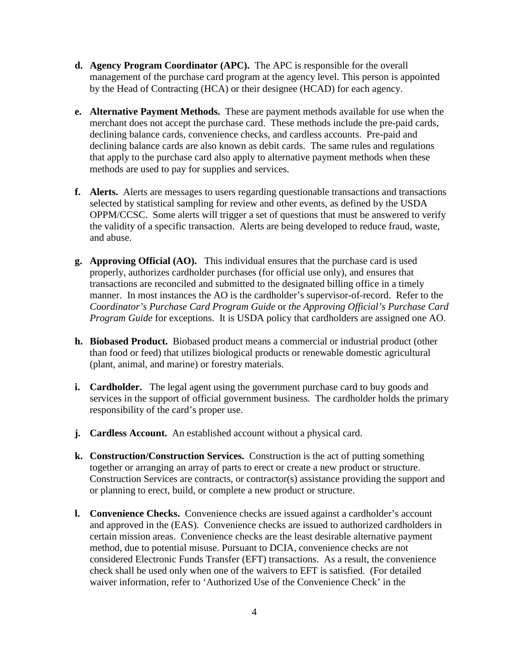- **d. Agency Program Coordinator (APC).** The APC is responsible for the overall management of the purchase card program at the agency level. This person is appointed by the Head of Contracting (HCA) or their designee (HCAD) for each agency.
- **e. Alternative Payment Methods.** These are payment methods available for use when the merchant does not accept the purchase card. These methods include the pre-paid cards, declining balance cards, convenience checks, and cardless accounts. Pre-paid and declining balance cards are also known as debit cards. The same rules and regulations that apply to the purchase card also apply to alternative payment methods when these methods are used to pay for supplies and services.
- **f. Alerts.** Alerts are messages to users regarding questionable transactions and transactions selected by statistical sampling for review and other events, as defined by the USDA OPPM/CCSC. Some alerts will trigger a set of questions that must be answered to verify the validity of a specific transaction. Alerts are being developed to reduce fraud, waste, and abuse.
- **g. Approving Official (AO).** This individual ensures that the purchase card is used properly, authorizes cardholder purchases (for official use only), and ensures that transactions are reconciled and submitted to the designated billing office in a timely manner. In most instances the AO is the cardholder's supervisor-of-record. Refer to the *Coordinator's Purchase Card Program Guide* or *the Approving Official's Purchase Card Program Guide* for exceptions. It is USDA policy that cardholders are assigned one AO.
- **h. Biobased Product.** Biobased product means a commercial or industrial product (other than food or feed) that utilizes biological products or renewable domestic agricultural (plant, animal, and marine) or forestry materials.
- **i. Cardholder.** The legal agent using the government purchase card to buy goods and services in the support of official government business. The cardholder holds the primary responsibility of the card's proper use.
- **j. Cardless Account.** An established account without a physical card.
- **k. Construction/Construction Services.** Construction is the act of putting something together or arranging an array of parts to erect or create a new product or structure. Construction Services are contracts, or contractor(s) assistance providing the support and or planning to erect, build, or complete a new product or structure.
- **l. Convenience Checks.** Convenience checks are issued against a cardholder's account and approved in the (EAS). Convenience checks are issued to authorized cardholders in certain mission areas. Convenience checks are the least desirable alternative payment method, due to potential misuse. Pursuant to DCIA, convenience checks are not considered Electronic Funds Transfer (EFT) transactions. As a result, the convenience check shall be used only when one of the waivers to EFT is satisfied. (For detailed waiver information, refer to 'Authorized Use of the Convenience Check' in the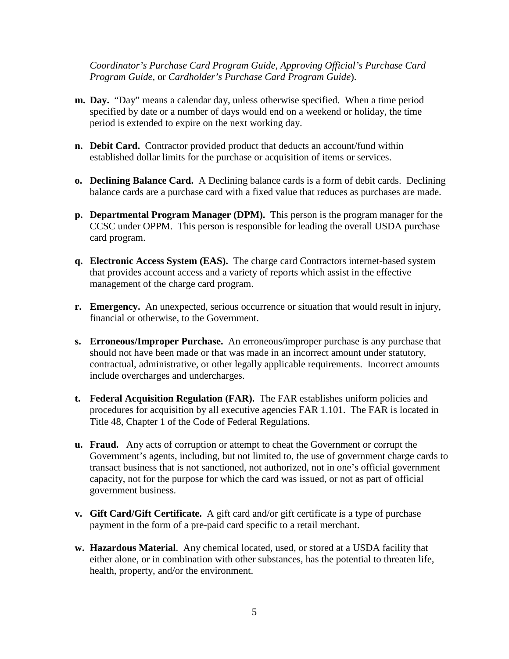*Coordinator's Purchase Card Program Guide, Approving Official's Purchase Card Program Guide,* or *Cardholder's Purchase Card Program Guide*).

- **m. Day.** "Day" means a calendar day, unless otherwise specified. When a time period specified by date or a number of days would end on a weekend or holiday, the time period is extended to expire on the next working day.
- **n. Debit Card.** Contractor provided product that deducts an account/fund within established dollar limits for the purchase or acquisition of items or services.
- **o. Declining Balance Card.** A Declining balance cards is a form of debit cards. Declining balance cards are a purchase card with a fixed value that reduces as purchases are made.
- **p. Departmental Program Manager (DPM).** This person is the program manager for the CCSC under OPPM. This person is responsible for leading the overall USDA purchase card program.
- **q. Electronic Access System (EAS).** The charge card Contractors internet-based system that provides account access and a variety of reports which assist in the effective management of the charge card program.
- **r. Emergency.** An unexpected, serious occurrence or situation that would result in injury, financial or otherwise, to the Government.
- **s. Erroneous/Improper Purchase.** An erroneous/improper purchase is any purchase that should not have been made or that was made in an incorrect amount under statutory, contractual, administrative, or other legally applicable requirements. Incorrect amounts include overcharges and undercharges.
- **t. Federal Acquisition Regulation (FAR).** The FAR establishes uniform policies and procedures for acquisition by all executive agencies FAR 1.101. The FAR is located in Title 48, Chapter 1 of the Code of Federal Regulations.
- **u. Fraud.** Any acts of corruption or attempt to cheat the Government or corrupt the Government's agents, including, but not limited to, the use of government charge cards to transact business that is not sanctioned, not authorized, not in one's official government capacity, not for the purpose for which the card was issued, or not as part of official government business.
- **v. Gift Card/Gift Certificate.** A gift card and/or gift certificate is a type of purchase payment in the form of a pre-paid card specific to a retail merchant.
- **w. Hazardous Material**. Any chemical located, used, or stored at a USDA facility that either alone, or in combination with other substances, has the potential to threaten life, health, property, and/or the environment.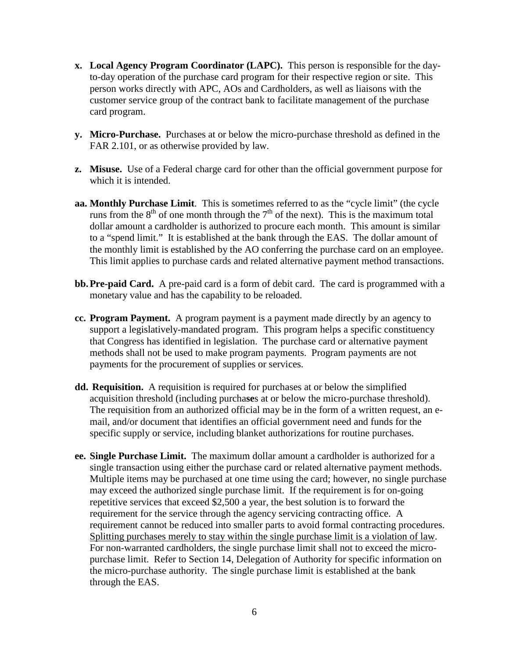- **x. Local Agency Program Coordinator (LAPC).** This person is responsible for the dayto-day operation of the purchase card program for their respective region or site. This person works directly with APC, AOs and Cardholders, as well as liaisons with the customer service group of the contract bank to facilitate management of the purchase card program.
- **y. Micro-Purchase.** Purchases at or below the micro-purchase threshold as defined in the FAR 2.101, or as otherwise provided by law.
- **z. Misuse.** Use of a Federal charge card for other than the official government purpose for which it is intended.
- **aa. Monthly Purchase Limit**. This is sometimes referred to as the "cycle limit" (the cycle runs from the  $8<sup>th</sup>$  of one month through the  $7<sup>th</sup>$  of the next). This is the maximum total dollar amount a cardholder is authorized to procure each month. This amount is similar to a "spend limit." It is established at the bank through the EAS. The dollar amount of the monthly limit is established by the AO conferring the purchase card on an employee. This limit applies to purchase cards and related alternative payment method transactions.
- **bb.Pre-paid Card.** A pre-paid card is a form of debit card. The card is programmed with a monetary value and has the capability to be reloaded.
- **cc. Program Payment.** A program payment is a payment made directly by an agency to support a legislatively-mandated program. This program helps a specific constituency that Congress has identified in legislation. The purchase card or alternative payment methods shall not be used to make program payments. Program payments are not payments for the procurement of supplies or services.
- **dd. Requisition.** A requisition is required for purchases at or below the simplified acquisition threshold (including purcha**se**s at or below the micro-purchase threshold). The requisition from an authorized official may be in the form of a written request, an email, and/or document that identifies an official government need and funds for the specific supply or service, including blanket authorizations for routine purchases.
- **ee. Single Purchase Limit.** The maximum dollar amount a cardholder is authorized for a single transaction using either the purchase card or related alternative payment methods. Multiple items may be purchased at one time using the card; however, no single purchase may exceed the authorized single purchase limit. If the requirement is for on-going repetitive services that exceed \$2,500 a year, the best solution is to forward the requirement for the service through the agency servicing contracting office. A requirement cannot be reduced into smaller parts to avoid formal contracting procedures. Splitting purchases merely to stay within the single purchase limit is a violation of law. For non-warranted cardholders, the single purchase limit shall not to exceed the micropurchase limit. Refer to Section 14, Delegation of Authority for specific information on the micro-purchase authority. The single purchase limit is established at the bank through the EAS.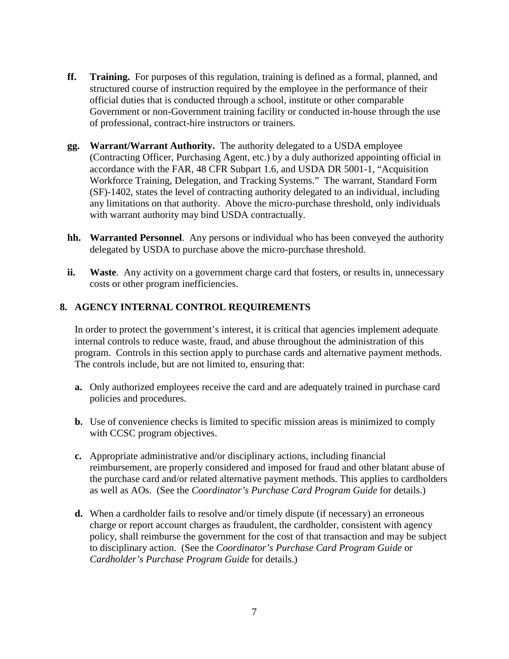- **ff. Training.** For purposes of this regulation, training is defined as a formal, planned, and structured course of instruction required by the employee in the performance of their official duties that is conducted through a school, institute or other comparable Government or non-Government training facility or conducted in-house through the use of professional, contract-hire instructors or trainers.
- **gg. Warrant/Warrant Authority.** The authority delegated to a USDA employee (Contracting Officer, Purchasing Agent, etc.) by a duly authorized appointing official in accordance with the FAR, 48 CFR Subpart 1.6, and USDA DR 5001-1, "Acquisition Workforce Training, Delegation, and Tracking Systems." The warrant, Standard Form (SF)-1402, states the level of contracting authority delegated to an individual, including any limitations on that authority. Above the micro-purchase threshold, only individuals with warrant authority may bind USDA contractually.
- **hh. Warranted Personnel**. Any persons or individual who has been conveyed the authority delegated by USDA to purchase above the micro-purchase threshold.
- **ii.** Waste. Any activity on a government charge card that fosters, or results in, unnecessary costs or other program inefficiencies.

## <span id="page-8-0"></span>**8. AGENCY INTERNAL CONTROL REQUIREMENTS**

In order to protect the government's interest, it is critical that agencies implement adequate internal controls to reduce waste, fraud, and abuse throughout the administration of this program. Controls in this section apply to purchase cards and alternative payment methods. The controls include, but are not limited to, ensuring that:

- **a.** Only authorized employees receive the card and are adequately trained in purchase card policies and procedures.
- **b.** Use of convenience checks is limited to specific mission areas is minimized to comply with CCSC program objectives.
- **c.** Appropriate administrative and/or disciplinary actions, including financial reimbursement, are properly considered and imposed for fraud and other blatant abuse of the purchase card and/or related alternative payment methods. This applies to cardholders as well as AOs. (See the *Coordinator's Purchase Card Program Guide* for details.)
- **d.** When a cardholder fails to resolve and/or timely dispute (if necessary) an erroneous charge or report account charges as fraudulent, the cardholder, consistent with agency policy, shall reimburse the government for the cost of that transaction and may be subject to disciplinary action. (See the *Coordinator's Purchase Card Program Guide* or *Cardholder's Purchase Program Guide* for details.)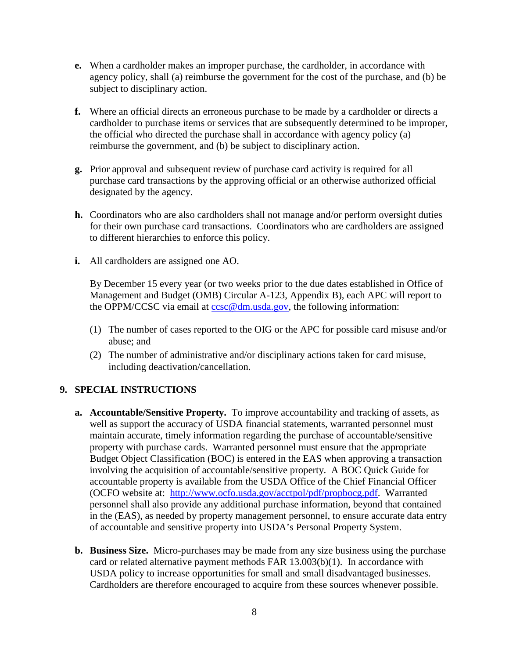- **e.** When a cardholder makes an improper purchase, the cardholder, in accordance with agency policy, shall (a) reimburse the government for the cost of the purchase, and (b) be subject to disciplinary action.
- **f.** Where an official directs an erroneous purchase to be made by a cardholder or directs a cardholder to purchase items or services that are subsequently determined to be improper, the official who directed the purchase shall in accordance with agency policy (a) reimburse the government, and (b) be subject to disciplinary action.
- **g.** Prior approval and subsequent review of purchase card activity is required for all purchase card transactions by the approving official or an otherwise authorized official designated by the agency.
- **h.** Coordinators who are also cardholders shall not manage and/or perform oversight duties for their own purchase card transactions. Coordinators who are cardholders are assigned to different hierarchies to enforce this policy.
- **i.** All cardholders are assigned one AO.

By December 15 every year (or two weeks prior to the due dates established in Office of Management and Budget (OMB) Circular A-123, Appendix B), each APC will report to the OPPM/CCSC via email at [ccsc@dm.usda.gov,](mailto:ccsc@dm.usda.gov) the following information:

- (1) The number of cases reported to the OIG or the APC for possible card misuse and/or abuse; and
- (2) The number of administrative and/or disciplinary actions taken for card misuse, including deactivation/cancellation.

#### <span id="page-9-0"></span>**9. SPECIAL INSTRUCTIONS**

- **a. Accountable/Sensitive Property.** To improve accountability and tracking of assets, as well as support the accuracy of USDA financial statements, warranted personnel must maintain accurate, timely information regarding the purchase of accountable/sensitive property with purchase cards. Warranted personnel must ensure that the appropriate Budget Object Classification (BOC) is entered in the EAS when approving a transaction involving the acquisition of accountable/sensitive property. A BOC Quick Guide for accountable property is available from the USDA Office of the Chief Financial Officer (OCFO website at: [http://www.ocfo.usda.gov/acctpol/pdf/propbocg.pdf.](http://www.ocfo.usda.gov/acctpol/pdf/propbocg.pdf) Warranted personnel shall also provide any additional purchase information, beyond that contained in the (EAS), as needed by property management personnel, to ensure accurate data entry of accountable and sensitive property into USDA's Personal Property System.
- **b. Business Size.** Micro-purchases may be made from any size business using the purchase card or related alternative payment methods FAR 13.003(b)(1). In accordance with USDA policy to increase opportunities for small and small disadvantaged businesses. Cardholders are therefore encouraged to acquire from these sources whenever possible.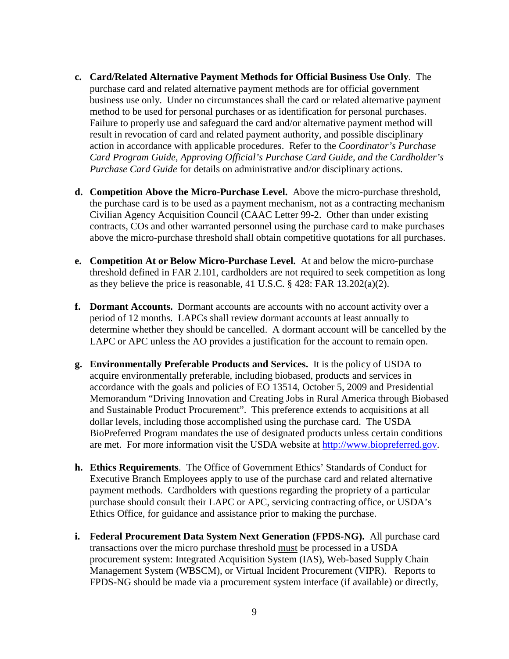- **c. Card/Related Alternative Payment Methods for Official Business Use Only**. The purchase card and related alternative payment methods are for official government business use only. Under no circumstances shall the card or related alternative payment method to be used for personal purchases or as identification for personal purchases. Failure to properly use and safeguard the card and/or alternative payment method will result in revocation of card and related payment authority, and possible disciplinary action in accordance with applicable procedures. Refer to the *Coordinator's Purchase Card Program Guide, Approving Official's Purchase Card Guide, and the Cardholder's Purchase Card Guide* for details on administrative and/or disciplinary actions.
- **d. Competition Above the Micro-Purchase Level.** Above the micro-purchase threshold, the purchase card is to be used as a payment mechanism, not as a contracting mechanism Civilian Agency Acquisition Council (CAAC Letter 99-2. Other than under existing contracts, COs and other warranted personnel using the purchase card to make purchases above the micro-purchase threshold shall obtain competitive quotations for all purchases.
- **e. Competition At or Below Micro-Purchase Level.** At and below the micro-purchase threshold defined in FAR 2.101, cardholders are not required to seek competition as long as they believe the price is reasonable, 41 U.S.C. § 428: FAR 13.202(a)(2).
- **f. Dormant Accounts.** Dormant accounts are accounts with no account activity over a period of 12 months. LAPCs shall review dormant accounts at least annually to determine whether they should be cancelled. A dormant account will be cancelled by the LAPC or APC unless the AO provides a justification for the account to remain open.
- **g. Environmentally Preferable Products and Services.** It is the policy of USDA to acquire environmentally preferable, including biobased, products and services in accordance with the goals and policies of EO 13514, October 5, 2009 and Presidential Memorandum "Driving Innovation and Creating Jobs in Rural America through Biobased and Sustainable Product Procurement". This preference extends to acquisitions at all dollar levels, including those accomplished using the purchase card. The USDA BioPreferred Program mandates the use of designated products unless certain conditions are met. For more information visit the USDA website at [http://www.biopreferred.gov.](http://www.biopreferred.gov/)
- **h. Ethics Requirements**. The Office of Government Ethics' Standards of Conduct for Executive Branch Employees apply to use of the purchase card and related alternative payment methods. Cardholders with questions regarding the propriety of a particular purchase should consult their LAPC or APC, servicing contracting office, or USDA's Ethics Office, for guidance and assistance prior to making the purchase.
- **i. Federal Procurement Data System Next Generation (FPDS-NG).** All purchase card transactions over the micro purchase threshold must be processed in a USDA procurement system: Integrated Acquisition System (IAS), Web-based Supply Chain Management System (WBSCM), or Virtual Incident Procurement (VIPR). Reports to FPDS-NG should be made via a procurement system interface (if available) or directly,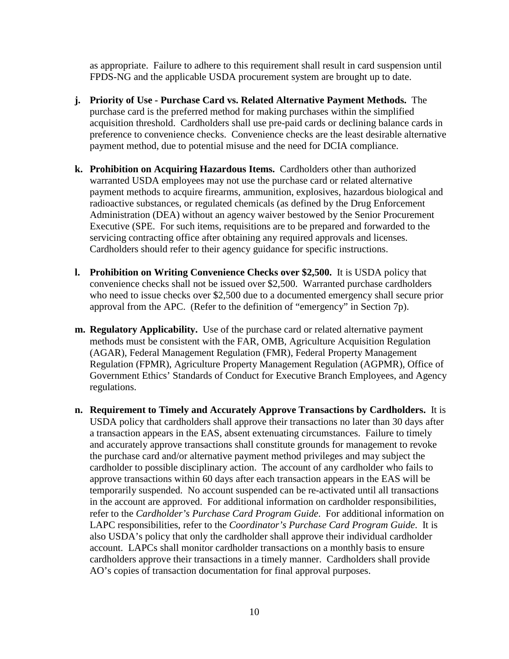as appropriate. Failure to adhere to this requirement shall result in card suspension until FPDS-NG and the applicable USDA procurement system are brought up to date.

- **j. Priority of Use - Purchase Card vs. Related Alternative Payment Methods.** The purchase card is the preferred method for making purchases within the simplified acquisition threshold. Cardholders shall use pre-paid cards or declining balance cards in preference to convenience checks. Convenience checks are the least desirable alternative payment method, due to potential misuse and the need for DCIA compliance.
- **k. Prohibition on Acquiring Hazardous Items.** Cardholders other than authorized warranted USDA employees may not use the purchase card or related alternative payment methods to acquire firearms, ammunition, explosives, hazardous biological and radioactive substances, or regulated chemicals (as defined by the Drug Enforcement Administration (DEA) without an agency waiver bestowed by the Senior Procurement Executive (SPE. For such items, requisitions are to be prepared and forwarded to the servicing contracting office after obtaining any required approvals and licenses. Cardholders should refer to their agency guidance for specific instructions.
- **l. Prohibition on Writing Convenience Checks over \$2,500.** It is USDA policy that convenience checks shall not be issued over \$2,500. Warranted purchase cardholders who need to issue checks over \$2,500 due to a documented emergency shall secure prior approval from the APC. (Refer to the definition of "emergency" in Section 7p).
- **m. Regulatory Applicability.** Use of the purchase card or related alternative payment methods must be consistent with the FAR, OMB, Agriculture Acquisition Regulation (AGAR), Federal Management Regulation (FMR), Federal Property Management Regulation (FPMR), Agriculture Property Management Regulation (AGPMR), Office of Government Ethics' Standards of Conduct for Executive Branch Employees, and Agency regulations.
- **n. Requirement to Timely and Accurately Approve Transactions by Cardholders.** It is USDA policy that cardholders shall approve their transactions no later than 30 days after a transaction appears in the EAS, absent extenuating circumstances. Failure to timely and accurately approve transactions shall constitute grounds for management to revoke the purchase card and/or alternative payment method privileges and may subject the cardholder to possible disciplinary action. The account of any cardholder who fails to approve transactions within 60 days after each transaction appears in the EAS will be temporarily suspended. No account suspended can be re-activated until all transactions in the account are approved. For additional information on cardholder responsibilities, refer to the *Cardholder's Purchase Card Program Guide*. For additional information on LAPC responsibilities, refer to the *Coordinator's Purchase Card Program Guide*. It is also USDA's policy that only the cardholder shall approve their individual cardholder account. LAPCs shall monitor cardholder transactions on a monthly basis to ensure cardholders approve their transactions in a timely manner. Cardholders shall provide AO's copies of transaction documentation for final approval purposes.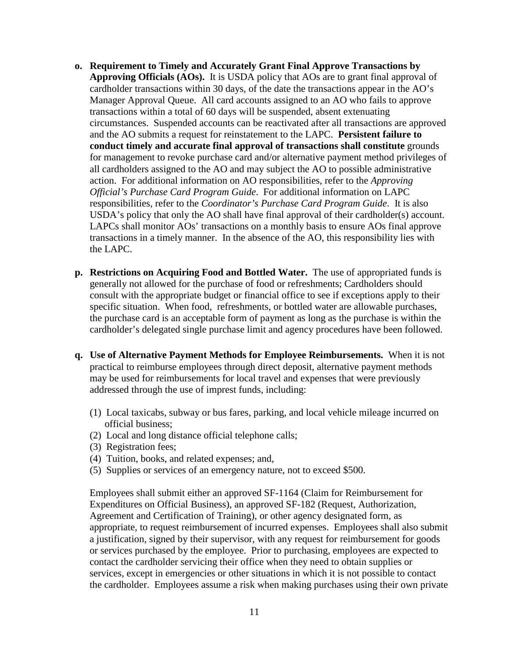- **o. Requirement to Timely and Accurately Grant Final Approve Transactions by Approving Officials (AOs).** It is USDA policy that AOs are to grant final approval of cardholder transactions within 30 days, of the date the transactions appear in the AO's Manager Approval Queue. All card accounts assigned to an AO who fails to approve transactions within a total of 60 days will be suspended, absent extenuating circumstances. Suspended accounts can be reactivated after all transactions are approved and the AO submits a request for reinstatement to the LAPC. **Persistent failure to conduct timely and accurate final approval of transactions shall constitute** grounds for management to revoke purchase card and/or alternative payment method privileges of all cardholders assigned to the AO and may subject the AO to possible administrative action. For additional information on AO responsibilities, refer to the *Approving Official's Purchase Card Program Guide*. For additional information on LAPC responsibilities, refer to the *Coordinator's Purchase Card Program Guide*. It is also USDA's policy that only the AO shall have final approval of their cardholder(s) account. LAPCs shall monitor AOs' transactions on a monthly basis to ensure AOs final approve transactions in a timely manner. In the absence of the AO, this responsibility lies with the LAPC.
- **p. Restrictions on Acquiring Food and Bottled Water.** The use of appropriated funds is generally not allowed for the purchase of food or refreshments; Cardholders should consult with the appropriate budget or financial office to see if exceptions apply to their specific situation. When food, refreshments, or bottled water are allowable purchases, the purchase card is an acceptable form of payment as long as the purchase is within the cardholder's delegated single purchase limit and agency procedures have been followed.
- **q. Use of Alternative Payment Methods for Employee Reimbursements.** When it is not practical to reimburse employees through direct deposit, alternative payment methods may be used for reimbursements for local travel and expenses that were previously addressed through the use of imprest funds, including:
	- (1) Local taxicabs, subway or bus fares, parking, and local vehicle mileage incurred on official business;
	- (2) Local and long distance official telephone calls;
	- (3) Registration fees;
	- (4) Tuition, books, and related expenses; and,
	- (5) Supplies or services of an emergency nature, not to exceed \$500.

Employees shall submit either an approved SF-1164 (Claim for Reimbursement for Expenditures on Official Business), an approved SF-182 (Request, Authorization, Agreement and Certification of Training), or other agency designated form, as appropriate, to request reimbursement of incurred expenses. Employees shall also submit a justification, signed by their supervisor, with any request for reimbursement for goods or services purchased by the employee. Prior to purchasing, employees are expected to contact the cardholder servicing their office when they need to obtain supplies or services, except in emergencies or other situations in which it is not possible to contact the cardholder. Employees assume a risk when making purchases using their own private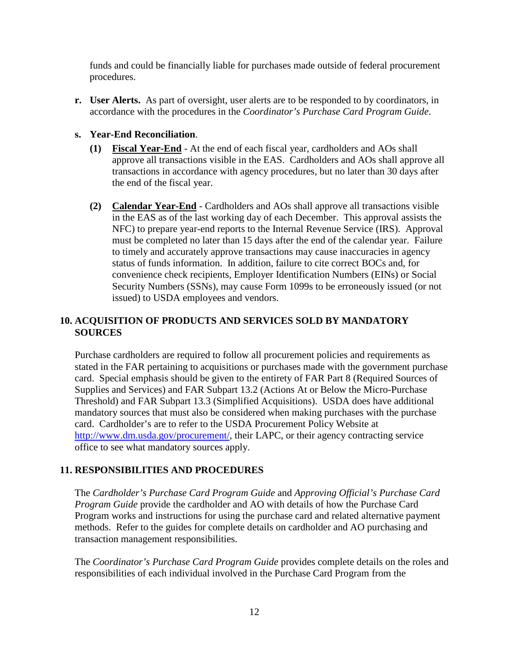funds and could be financially liable for purchases made outside of federal procurement procedures.

**r. User Alerts.** As part of oversight, user alerts are to be responded to by coordinators, in accordance with the procedures in the *Coordinator's Purchase Card Program Guide*.

#### **s. Year-End Reconciliation**.

- **(1) Fiscal Year-End** At the end of each fiscal year, cardholders and AOs shall approve all transactions visible in the EAS. Cardholders and AOs shall approve all transactions in accordance with agency procedures, but no later than 30 days after the end of the fiscal year.
- **(2) Calendar Year-End** Cardholders and AOs shall approve all transactions visible in the EAS as of the last working day of each December. This approval assists the NFC) to prepare year-end reports to the Internal Revenue Service (IRS). Approval must be completed no later than 15 days after the end of the calendar year. Failure to timely and accurately approve transactions may cause inaccuracies in agency status of funds information. In addition, failure to cite correct BOCs and, for convenience check recipients, Employer Identification Numbers (EINs) or Social Security Numbers (SSNs), may cause Form 1099s to be erroneously issued (or not issued) to USDA employees and vendors.

#### <span id="page-13-0"></span>**10. ACQUISITION OF PRODUCTS AND SERVICES SOLD BY MANDATORY SOURCES**

Purchase cardholders are required to follow all procurement policies and requirements as stated in the FAR pertaining to acquisitions or purchases made with the government purchase card. Special emphasis should be given to the entirety of FAR Part 8 (Required Sources of Supplies and Services) and FAR Subpart 13.2 (Actions At or Below the Micro-Purchase Threshold) and FAR Subpart 13.3 (Simplified Acquisitions). USDA does have additional mandatory sources that must also be considered when making purchases with the purchase card. Cardholder's are to refer to the USDA Procurement Policy Website at [http://www.dm.usda.gov/procurement/,](http://www.dm.usda.gov/procurement/) their LAPC, or their agency contracting service office to see what mandatory sources apply.

#### <span id="page-13-1"></span>**11. RESPONSIBILITIES AND PROCEDURES**

The *Cardholder's Purchase Card Program Guide* and *Approving Official's Purchase Card Program Guide* provide the cardholder and AO with details of how the Purchase Card Program works and instructions for using the purchase card and related alternative payment methods. Refer to the guides for complete details on cardholder and AO purchasing and transaction management responsibilities.

The *Coordinator's Purchase Card Program Guide* provides complete details on the roles and responsibilities of each individual involved in the Purchase Card Program from the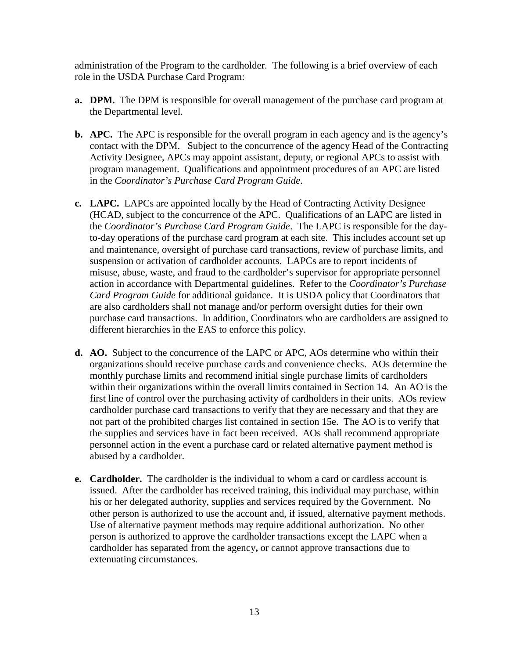administration of the Program to the cardholder. The following is a brief overview of each role in the USDA Purchase Card Program:

- **a. DPM.** The DPM is responsible for overall management of the purchase card program at the Departmental level.
- **b. APC.** The APC is responsible for the overall program in each agency and is the agency's contact with the DPM. Subject to the concurrence of the agency Head of the Contracting Activity Designee, APCs may appoint assistant, deputy, or regional APCs to assist with program management. Qualifications and appointment procedures of an APC are listed in the *Coordinator's Purchase Card Program Guide*.
- **c. LAPC.** LAPCs are appointed locally by the Head of Contracting Activity Designee (HCAD, subject to the concurrence of the APC. Qualifications of an LAPC are listed in the *Coordinator's Purchase Card Program Guide*. The LAPC is responsible for the dayto-day operations of the purchase card program at each site. This includes account set up and maintenance, oversight of purchase card transactions, review of purchase limits, and suspension or activation of cardholder accounts. LAPCs are to report incidents of misuse, abuse, waste, and fraud to the cardholder's supervisor for appropriate personnel action in accordance with Departmental guidelines. Refer to the *Coordinator's Purchase Card Program Guide* for additional guidance. It is USDA policy that Coordinators that are also cardholders shall not manage and/or perform oversight duties for their own purchase card transactions. In addition, Coordinators who are cardholders are assigned to different hierarchies in the EAS to enforce this policy.
- **d. AO.** Subject to the concurrence of the LAPC or APC, AOs determine who within their organizations should receive purchase cards and convenience checks. AOs determine the monthly purchase limits and recommend initial single purchase limits of cardholders within their organizations within the overall limits contained in Section 14. An AO is the first line of control over the purchasing activity of cardholders in their units. AOs review cardholder purchase card transactions to verify that they are necessary and that they are not part of the prohibited charges list contained in section 15e. The AO is to verify that the supplies and services have in fact been received. AOs shall recommend appropriate personnel action in the event a purchase card or related alternative payment method is abused by a cardholder.
- **e. Cardholder.** The cardholder is the individual to whom a card or cardless account is issued. After the cardholder has received training, this individual may purchase, within his or her delegated authority, supplies and services required by the Government. No other person is authorized to use the account and, if issued, alternative payment methods. Use of alternative payment methods may require additional authorization. No other person is authorized to approve the cardholder transactions except the LAPC when a cardholder has separated from the agency**,** or cannot approve transactions due to extenuating circumstances.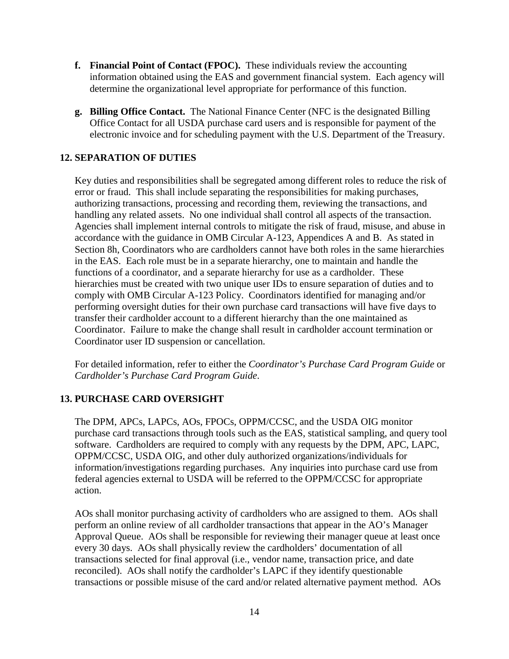- **f. Financial Point of Contact (FPOC).** These individuals review the accounting information obtained using the EAS and government financial system. Each agency will determine the organizational level appropriate for performance of this function.
- **g. Billing Office Contact.** The National Finance Center (NFC is the designated Billing Office Contact for all USDA purchase card users and is responsible for payment of the electronic invoice and for scheduling payment with the U.S. Department of the Treasury.

#### <span id="page-15-0"></span>**12. SEPARATION OF DUTIES**

Key duties and responsibilities shall be segregated among different roles to reduce the risk of error or fraud. This shall include separating the responsibilities for making purchases, authorizing transactions, processing and recording them, reviewing the transactions, and handling any related assets. No one individual shall control all aspects of the transaction. Agencies shall implement internal controls to mitigate the risk of fraud, misuse, and abuse in accordance with the guidance in OMB Circular A-123, Appendices A and B. As stated in Section 8h, Coordinators who are cardholders cannot have both roles in the same hierarchies in the EAS. Each role must be in a separate hierarchy, one to maintain and handle the functions of a coordinator, and a separate hierarchy for use as a cardholder. These hierarchies must be created with two unique user IDs to ensure separation of duties and to comply with OMB Circular A-123 Policy. Coordinators identified for managing and/or performing oversight duties for their own purchase card transactions will have five days to transfer their cardholder account to a different hierarchy than the one maintained as Coordinator. Failure to make the change shall result in cardholder account termination or Coordinator user ID suspension or cancellation.

For detailed information, refer to either the *Coordinator's Purchase Card Program Guide* or *Cardholder's Purchase Card Program Guide*.

#### <span id="page-15-1"></span>**13. PURCHASE CARD OVERSIGHT**

The DPM, APCs, LAPCs, AOs, FPOCs, OPPM/CCSC, and the USDA OIG monitor purchase card transactions through tools such as the EAS, statistical sampling, and query tool software. Cardholders are required to comply with any requests by the DPM, APC, LAPC, OPPM/CCSC, USDA OIG, and other duly authorized organizations/individuals for information/investigations regarding purchases. Any inquiries into purchase card use from federal agencies external to USDA will be referred to the OPPM/CCSC for appropriate action.

AOs shall monitor purchasing activity of cardholders who are assigned to them. AOs shall perform an online review of all cardholder transactions that appear in the AO's Manager Approval Queue. AOs shall be responsible for reviewing their manager queue at least once every 30 days. AOs shall physically review the cardholders' documentation of all transactions selected for final approval (i.e., vendor name, transaction price, and date reconciled). AOs shall notify the cardholder's LAPC if they identify questionable transactions or possible misuse of the card and/or related alternative payment method. AOs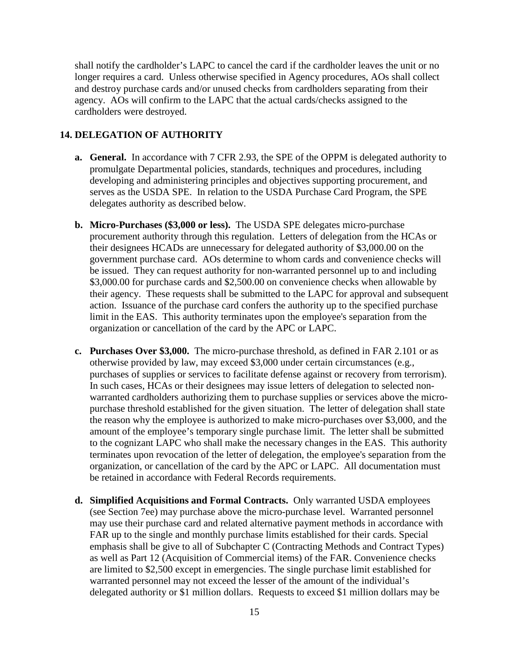shall notify the cardholder's LAPC to cancel the card if the cardholder leaves the unit or no longer requires a card. Unless otherwise specified in Agency procedures, AOs shall collect and destroy purchase cards and/or unused checks from cardholders separating from their agency. AOs will confirm to the LAPC that the actual cards/checks assigned to the cardholders were destroyed.

#### <span id="page-16-0"></span>**14. DELEGATION OF AUTHORITY**

- **a. General.** In accordance with 7 CFR 2.93, the SPE of the OPPM is delegated authority to promulgate Departmental policies, standards, techniques and procedures, including developing and administering principles and objectives supporting procurement, and serves as the USDA SPE. In relation to the USDA Purchase Card Program, the SPE delegates authority as described below.
- **b. Micro-Purchases (\$3,000 or less).** The USDA SPE delegates micro-purchase procurement authority through this regulation. Letters of delegation from the HCAs or their designees HCADs are unnecessary for delegated authority of \$3,000.00 on the government purchase card. AOs determine to whom cards and convenience checks will be issued. They can request authority for non-warranted personnel up to and including \$3,000.00 for purchase cards and \$2,500.00 on convenience checks when allowable by their agency. These requests shall be submitted to the LAPC for approval and subsequent action. Issuance of the purchase card confers the authority up to the specified purchase limit in the EAS. This authority terminates upon the employee's separation from the organization or cancellation of the card by the APC or LAPC.
- **c. Purchases Over \$3,000.** The micro-purchase threshold, as defined in FAR 2.101 or as otherwise provided by law, may exceed \$3,000 under certain circumstances (e.g., purchases of supplies or services to facilitate defense against or recovery from terrorism). In such cases, HCAs or their designees may issue letters of delegation to selected nonwarranted cardholders authorizing them to purchase supplies or services above the micropurchase threshold established for the given situation. The letter of delegation shall state the reason why the employee is authorized to make micro-purchases over \$3,000, and the amount of the employee's temporary single purchase limit. The letter shall be submitted to the cognizant LAPC who shall make the necessary changes in the EAS. This authority terminates upon revocation of the letter of delegation, the employee's separation from the organization, or cancellation of the card by the APC or LAPC. All documentation must be retained in accordance with Federal Records requirements.
- **d. Simplified Acquisitions and Formal Contracts.** Only warranted USDA employees (see Section 7ee) may purchase above the micro-purchase level. Warranted personnel may use their purchase card and related alternative payment methods in accordance with FAR up to the single and monthly purchase limits established for their cards. Special emphasis shall be give to all of Subchapter C (Contracting Methods and Contract Types) as well as Part 12 (Acquisition of Commercial items) of the FAR. Convenience checks are limited to \$2,500 except in emergencies. The single purchase limit established for warranted personnel may not exceed the lesser of the amount of the individual's delegated authority or \$1 million dollars. Requests to exceed \$1 million dollars may be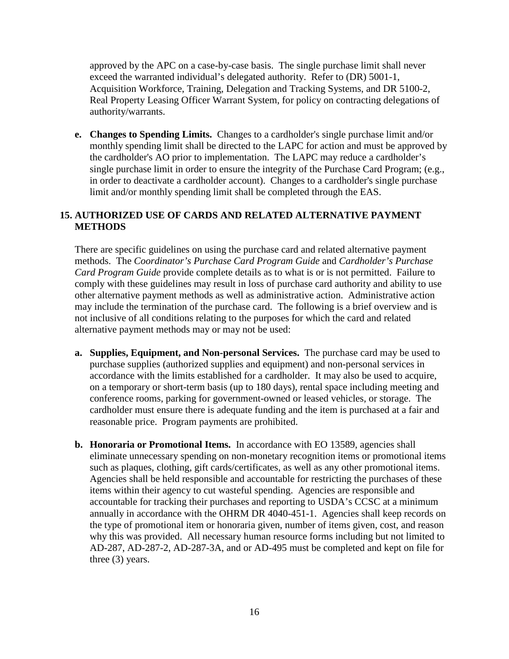approved by the APC on a case-by-case basis. The single purchase limit shall never exceed the warranted individual's delegated authority. Refer to (DR) 5001-1, Acquisition Workforce, Training, Delegation and Tracking Systems, and DR 5100-2, Real Property Leasing Officer Warrant System, for policy on contracting delegations of authority/warrants.

**e. Changes to Spending Limits.** Changes to a cardholder's single purchase limit and/or monthly spending limit shall be directed to the LAPC for action and must be approved by the cardholder's AO prior to implementation. The LAPC may reduce a cardholder's single purchase limit in order to ensure the integrity of the Purchase Card Program; (e.g., in order to deactivate a cardholder account). Changes to a cardholder's single purchase limit and/or monthly spending limit shall be completed through the EAS.

#### <span id="page-17-0"></span>**15. AUTHORIZED USE OF CARDS AND RELATED ALTERNATIVE PAYMENT METHODS**

There are specific guidelines on using the purchase card and related alternative payment methods. The *Coordinator's Purchase Card Program Guide* and *Cardholder's Purchase Card Program Guide* provide complete details as to what is or is not permitted. Failure to comply with these guidelines may result in loss of purchase card authority and ability to use other alternative payment methods as well as administrative action. Administrative action may include the termination of the purchase card. The following is a brief overview and is not inclusive of all conditions relating to the purposes for which the card and related alternative payment methods may or may not be used:

- **a. Supplies, Equipment, and Non-personal Services.** The purchase card may be used to purchase supplies (authorized supplies and equipment) and non-personal services in accordance with the limits established for a cardholder. It may also be used to acquire, on a temporary or short-term basis (up to 180 days), rental space including meeting and conference rooms, parking for government-owned or leased vehicles, or storage. The cardholder must ensure there is adequate funding and the item is purchased at a fair and reasonable price. Program payments are prohibited.
- **b. Honoraria or Promotional Items.** In accordance with EO 13589, agencies shall eliminate unnecessary spending on non-monetary recognition items or promotional items such as plaques, clothing, gift cards/certificates, as well as any other promotional items. Agencies shall be held responsible and accountable for restricting the purchases of these items within their agency to cut wasteful spending. Agencies are responsible and accountable for tracking their purchases and reporting to USDA's CCSC at a minimum annually in accordance with the OHRM DR 4040-451-1. Agencies shall keep records on the type of promotional item or honoraria given, number of items given, cost, and reason why this was provided. All necessary human resource forms including but not limited to AD-287, AD-287-2, AD-287-3A, and or AD-495 must be completed and kept on file for three (3) years.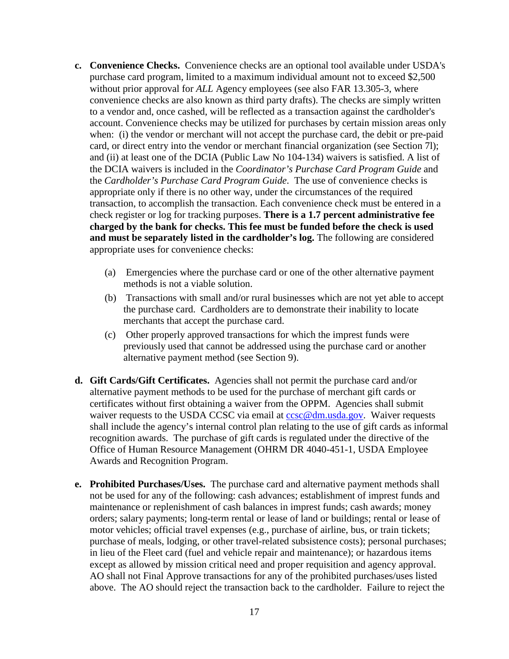- **c. Convenience Checks.** Convenience checks are an optional tool available under USDA's purchase card program, limited to a maximum individual amount not to exceed \$2,500 without prior approval for *ALL* Agency employees (see also FAR 13.305-3, where convenience checks are also known as third party drafts). The checks are simply written to a vendor and, once cashed, will be reflected as a transaction against the cardholder's account. Convenience checks may be utilized for purchases by certain mission areas only when: (i) the vendor or merchant will not accept the purchase card, the debit or pre-paid card, or direct entry into the vendor or merchant financial organization (see Section 7l); and (ii) at least one of the DCIA (Public Law No 104-134) waivers is satisfied. A list of the DCIA waivers is included in the *Coordinator's Purchase Card Program Guide* and the *Cardholder's Purchase Card Program Guide*. The use of convenience checks is appropriate only if there is no other way, under the circumstances of the required transaction, to accomplish the transaction. Each convenience check must be entered in a check register or log for tracking purposes. **There is a 1.7 percent administrative fee charged by the bank for checks. This fee must be funded before the check is used and must be separately listed in the cardholder's log.** The following are considered appropriate uses for convenience checks:
	- (a) Emergencies where the purchase card or one of the other alternative payment methods is not a viable solution.
	- (b) Transactions with small and/or rural businesses which are not yet able to accept the purchase card. Cardholders are to demonstrate their inability to locate merchants that accept the purchase card.
	- (c) Other properly approved transactions for which the imprest funds were previously used that cannot be addressed using the purchase card or another alternative payment method (see Section 9).
- **d. Gift Cards/Gift Certificates.** Agencies shall not permit the purchase card and/or alternative payment methods to be used for the purchase of merchant gift cards or certificates without first obtaining a waiver from the OPPM. Agencies shall submit waiver requests to the USDA CCSC via email at [ccsc@dm.usda.gov.](mailto:ccsc@dm.usda.gov) Waiver requests shall include the agency's internal control plan relating to the use of gift cards as informal recognition awards. The purchase of gift cards is regulated under the directive of the Office of Human Resource Management (OHRM DR 4040-451-1, USDA Employee Awards and Recognition Program.
- **e. Prohibited Purchases/Uses.** The purchase card and alternative payment methods shall not be used for any of the following: cash advances; establishment of imprest funds and maintenance or replenishment of cash balances in imprest funds; cash awards; money orders; salary payments; long-term rental or lease of land or buildings; rental or lease of motor vehicles; official travel expenses (e.g., purchase of airline, bus, or train tickets; purchase of meals, lodging, or other travel-related subsistence costs); personal purchases; in lieu of the Fleet card (fuel and vehicle repair and maintenance); or hazardous items except as allowed by mission critical need and proper requisition and agency approval. AO shall not Final Approve transactions for any of the prohibited purchases/uses listed above. The AO should reject the transaction back to the cardholder. Failure to reject the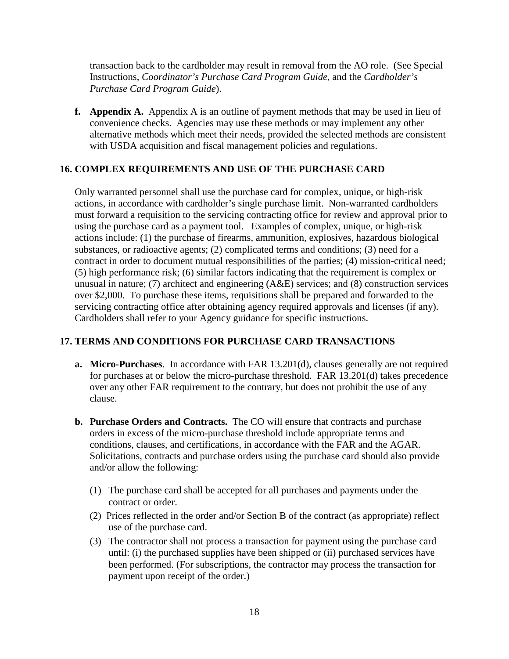transaction back to the cardholder may result in removal from the AO role. (See Special Instructions, *Coordinator's Purchase Card Program Guide*, and the *Cardholder's Purchase Card Program Guide*).

**f. Appendix A.** Appendix A is an outline of payment methods that may be used in lieu of convenience checks. Agencies may use these methods or may implement any other alternative methods which meet their needs, provided the selected methods are consistent with USDA acquisition and fiscal management policies and regulations.

#### <span id="page-19-0"></span>**16. COMPLEX REQUIREMENTS AND USE OF THE PURCHASE CARD**

Only warranted personnel shall use the purchase card for complex, unique, or high-risk actions, in accordance with cardholder's single purchase limit. Non-warranted cardholders must forward a requisition to the servicing contracting office for review and approval prior to using the purchase card as a payment tool. Examples of complex, unique, or high-risk actions include: (1) the purchase of firearms, ammunition, explosives, hazardous biological substances, or radioactive agents; (2) complicated terms and conditions; (3) need for a contract in order to document mutual responsibilities of the parties; (4) mission-critical need; (5) high performance risk; (6) similar factors indicating that the requirement is complex or unusual in nature; (7) architect and engineering (A&E) services; and (8) construction services over \$2,000. To purchase these items, requisitions shall be prepared and forwarded to the servicing contracting office after obtaining agency required approvals and licenses (if any). Cardholders shall refer to your Agency guidance for specific instructions.

# <span id="page-19-1"></span>**17. TERMS AND CONDITIONS FOR PURCHASE CARD TRANSACTIONS**

- **a. Micro-Purchases**. In accordance with FAR 13.201(d), clauses generally are not required for purchases at or below the micro-purchase threshold. FAR 13.201(d) takes precedence over any other FAR requirement to the contrary, but does not prohibit the use of any clause.
- **b. Purchase Orders and Contracts.** The CO will ensure that contracts and purchase orders in excess of the micro-purchase threshold include appropriate terms and conditions, clauses, and certifications, in accordance with the FAR and the AGAR. Solicitations, contracts and purchase orders using the purchase card should also provide and/or allow the following:
	- (1) The purchase card shall be accepted for all purchases and payments under the contract or order.
	- (2) Prices reflected in the order and/or Section B of the contract (as appropriate) reflect use of the purchase card.
	- (3) The contractor shall not process a transaction for payment using the purchase card until: (i) the purchased supplies have been shipped or (ii) purchased services have been performed. (For subscriptions, the contractor may process the transaction for payment upon receipt of the order.)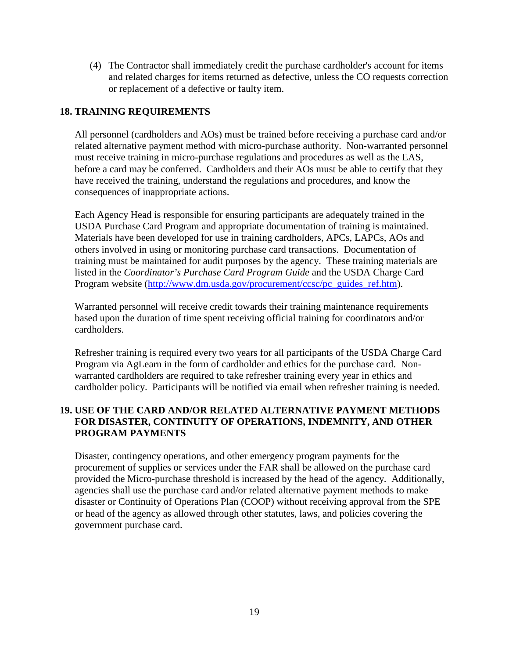(4) The Contractor shall immediately credit the purchase cardholder's account for items and related charges for items returned as defective, unless the CO requests correction or replacement of a defective or faulty item.

#### <span id="page-20-0"></span>**18. TRAINING REQUIREMENTS**

All personnel (cardholders and AOs) must be trained before receiving a purchase card and/or related alternative payment method with micro-purchase authority. Non-warranted personnel must receive training in micro-purchase regulations and procedures as well as the EAS, before a card may be conferred. Cardholders and their AOs must be able to certify that they have received the training, understand the regulations and procedures, and know the consequences of inappropriate actions.

Each Agency Head is responsible for ensuring participants are adequately trained in the USDA Purchase Card Program and appropriate documentation of training is maintained. Materials have been developed for use in training cardholders, APCs, LAPCs, AOs and others involved in using or monitoring purchase card transactions. Documentation of training must be maintained for audit purposes by the agency. These training materials are listed in the *Coordinator's Purchase Card Program Guide* and the USDA Charge Card Program website [\(http://www.dm.usda.gov/procurement/ccsc/pc\\_guides\\_ref.htm\)](http://www.dm.usda.gov/procurement/ccsc/pc_guides_ref.htm).

Warranted personnel will receive credit towards their training maintenance requirements based upon the duration of time spent receiving official training for coordinators and/or cardholders.

Refresher training is required every two years for all participants of the USDA Charge Card Program via AgLearn in the form of cardholder and ethics for the purchase card. Nonwarranted cardholders are required to take refresher training every year in ethics and cardholder policy. Participants will be notified via email when refresher training is needed.

#### <span id="page-20-1"></span>**19. USE OF THE CARD AND/OR RELATED ALTERNATIVE PAYMENT METHODS FOR DISASTER, CONTINUITY OF OPERATIONS, INDEMNITY, AND OTHER PROGRAM PAYMENTS**

Disaster, contingency operations, and other emergency program payments for the procurement of supplies or services under the FAR shall be allowed on the purchase card provided the Micro-purchase threshold is increased by the head of the agency. Additionally, agencies shall use the purchase card and/or related alternative payment methods to make disaster or Continuity of Operations Plan (COOP) without receiving approval from the SPE or head of the agency as allowed through other statutes, laws, and policies covering the government purchase card.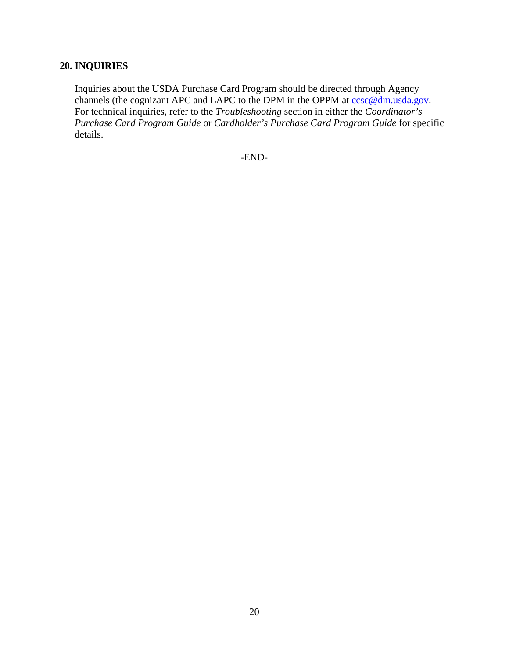# <span id="page-21-0"></span>**20. INQUIRIES**

Inquiries about the USDA Purchase Card Program should be directed through Agency channels (the cognizant APC and LAPC to the DPM in the OPPM at  $ccsc@dm.usda.gov$ . For technical inquiries, refer to the *Troubleshooting* section in either the *Coordinator's Purchase Card Program Guide* or *Cardholder's Purchase Card Program Guide* for specific details.

-END-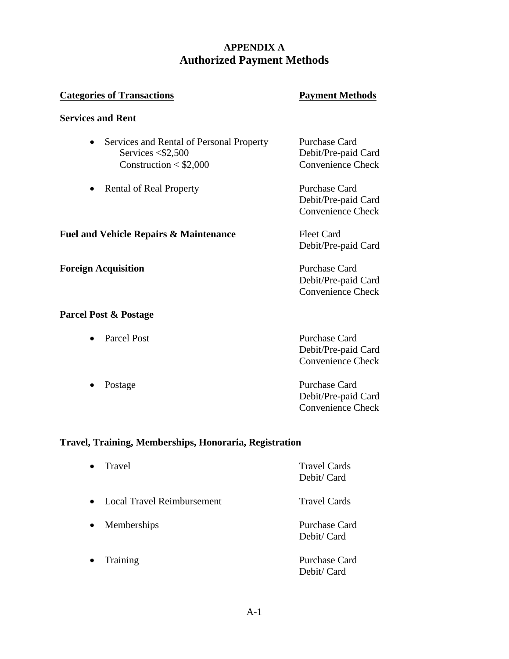# **APPENDIX A Authorized Payment Methods**

#### **Categories of Transactions Payment Methods**

#### **Services and Rent**

| • Services and Rental of Personal Property | Purchase Card       |
|--------------------------------------------|---------------------|
| Services $\leq 2,500$                      | Debit/Pre-paid Card |
| Construction $<$ \$2,000                   | Convenience Check   |
|                                            |                     |

• Rental of Real Property Purchase Card Debit/Pre-paid Card Convenience Check

**Fuel and Vehicle Repairs & Maintenance** Fleet Card Debit/Pre-paid Card

**Foreign Acquisition** Purchase Card Debit/Pre-paid Card Convenience Check

#### **Parcel Post & Postage**

| • Parcel Post | Purchase Card       |
|---------------|---------------------|
|               | Debit/Pre-paid Card |
|               | Convenience Check   |
|               |                     |

• Postage Purchase Card Debit/Pre-paid Card Convenience Check

### **Travel, Training, Memberships, Honoraria, Registration**

| $\bullet$ | Travel                            | <b>Travel Cards</b><br>Debit/Card   |
|-----------|-----------------------------------|-------------------------------------|
| $\bullet$ | <b>Local Travel Reimbursement</b> | <b>Travel Cards</b>                 |
| $\bullet$ | Memberships                       | <b>Purchase Card</b><br>Debit/Card  |
| $\bullet$ | Training                          | <b>Purchase Card</b><br>Debit/ Card |